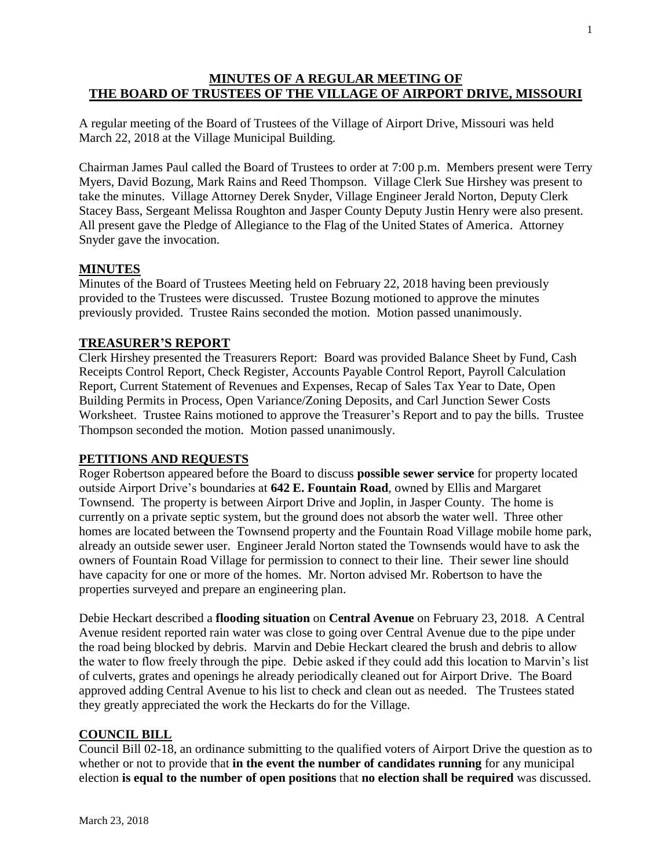# **MINUTES OF A REGULAR MEETING OF THE BOARD OF TRUSTEES OF THE VILLAGE OF AIRPORT DRIVE, MISSOURI**

A regular meeting of the Board of Trustees of the Village of Airport Drive, Missouri was held March 22, 2018 at the Village Municipal Building.

Chairman James Paul called the Board of Trustees to order at 7:00 p.m. Members present were Terry Myers, David Bozung, Mark Rains and Reed Thompson. Village Clerk Sue Hirshey was present to take the minutes. Village Attorney Derek Snyder, Village Engineer Jerald Norton, Deputy Clerk Stacey Bass, Sergeant Melissa Roughton and Jasper County Deputy Justin Henry were also present. All present gave the Pledge of Allegiance to the Flag of the United States of America. Attorney Snyder gave the invocation.

## **MINUTES**

Minutes of the Board of Trustees Meeting held on February 22, 2018 having been previously provided to the Trustees were discussed. Trustee Bozung motioned to approve the minutes previously provided. Trustee Rains seconded the motion. Motion passed unanimously.

### **TREASURER'S REPORT**

Clerk Hirshey presented the Treasurers Report: Board was provided Balance Sheet by Fund, Cash Receipts Control Report, Check Register, Accounts Payable Control Report, Payroll Calculation Report, Current Statement of Revenues and Expenses, Recap of Sales Tax Year to Date, Open Building Permits in Process, Open Variance/Zoning Deposits, and Carl Junction Sewer Costs Worksheet. Trustee Rains motioned to approve the Treasurer's Report and to pay the bills. Trustee Thompson seconded the motion. Motion passed unanimously.

#### **PETITIONS AND REQUESTS**

Roger Robertson appeared before the Board to discuss **possible sewer service** for property located outside Airport Drive's boundaries at **642 E. Fountain Road**, owned by Ellis and Margaret Townsend. The property is between Airport Drive and Joplin, in Jasper County. The home is currently on a private septic system, but the ground does not absorb the water well. Three other homes are located between the Townsend property and the Fountain Road Village mobile home park, already an outside sewer user. Engineer Jerald Norton stated the Townsends would have to ask the owners of Fountain Road Village for permission to connect to their line. Their sewer line should have capacity for one or more of the homes. Mr. Norton advised Mr. Robertson to have the properties surveyed and prepare an engineering plan.

Debie Heckart described a **flooding situation** on **Central Avenue** on February 23, 2018. A Central Avenue resident reported rain water was close to going over Central Avenue due to the pipe under the road being blocked by debris. Marvin and Debie Heckart cleared the brush and debris to allow the water to flow freely through the pipe. Debie asked if they could add this location to Marvin's list of culverts, grates and openings he already periodically cleaned out for Airport Drive. The Board approved adding Central Avenue to his list to check and clean out as needed. The Trustees stated they greatly appreciated the work the Heckarts do for the Village.

#### **COUNCIL BILL**

Council Bill 02-18, an ordinance submitting to the qualified voters of Airport Drive the question as to whether or not to provide that **in the event the number of candidates running** for any municipal election **is equal to the number of open positions** that **no election shall be required** was discussed.